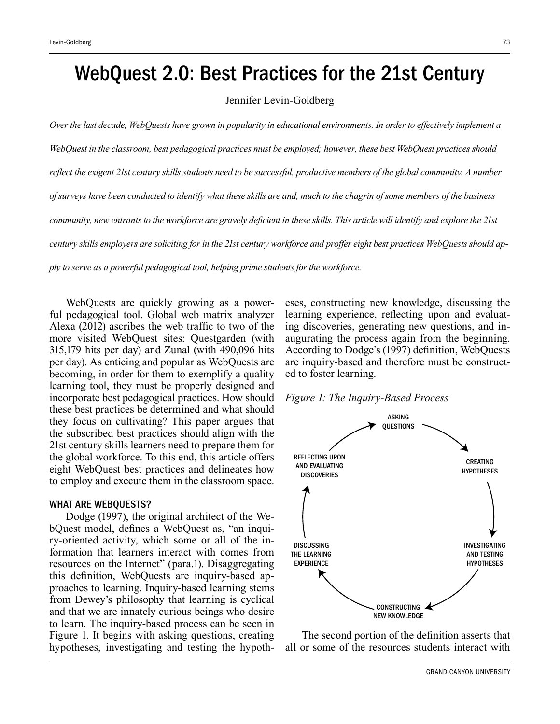# WebQuest 2.0: Best Practices for the 21st Century

### Jennifer Levin-Goldberg

*Over the last decade, WebQuests have grown in popularity in educational environments. In order to effectively implement a WebQuest in the classroom, best pedagogical practices must be employed; however, these best WebQuest practices should reflect the exigent 21st century skills students need to be successful, productive members of the global community. A number of surveys have been conducted to identify what these skills are and, much to the chagrin of some members of the business community, new entrants to the workforce are gravely deficient in these skills. This article will identify and explore the 21st century skills employers are soliciting for in the 21st century workforce and proffer eight best practices WebQuests should apply to serve as a powerful pedagogical tool, helping prime students for the workforce.* 

WebQuests are quickly growing as a powerful pedagogical tool. Global web matrix analyzer Alexa (2012) ascribes the web traffic to two of the more visited WebQuest sites: Questgarden (with 315,179 hits per day) and Zunal (with 490,096 hits per day). As enticing and popular as WebQuests are becoming, in order for them to exemplify a quality learning tool, they must be properly designed and incorporate best pedagogical practices. How should these best practices be determined and what should they focus on cultivating? This paper argues that the subscribed best practices should align with the 21st century skills learners need to prepare them for the global workforce. To this end, this article offers eight WebQuest best practices and delineates how to employ and execute them in the classroom space.

#### WHAT ARE WEBQUESTS?

Dodge (1997), the original architect of the WebQuest model, defines a WebQuest as, "an inquiry-oriented activity, which some or all of the information that learners interact with comes from resources on the Internet" (para.1). Disaggregating this definition, WebQuests are inquiry-based approaches to learning. Inquiry-based learning stems from Dewey's philosophy that learning is cyclical and that we are innately curious beings who desire to learn. The inquiry-based process can be seen in Figure 1. It begins with asking questions, creating hypotheses, investigating and testing the hypotheses, constructing new knowledge, discussing the learning experience, reflecting upon and evaluating discoveries, generating new questions, and inaugurating the process again from the beginning. According to Dodge's (1997) definition, WebQuests are inquiry-based and therefore must be constructed to foster learning.





The second portion of the definition asserts that all or some of the resources students interact with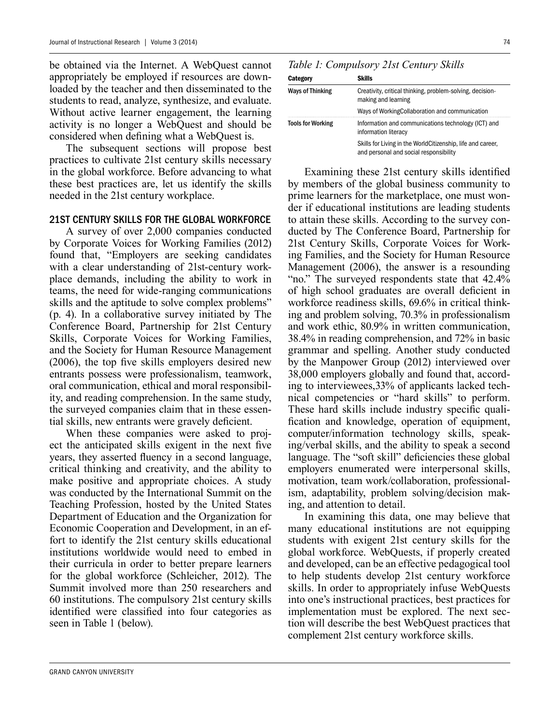be obtained via the Internet. A WebQuest cannot appropriately be employed if resources are downloaded by the teacher and then disseminated to the students to read, analyze, synthesize, and evaluate. Without active learner engagement, the learning activity is no longer a WebQuest and should be considered when defining what a WebQuest is.

The subsequent sections will propose best practices to cultivate 21st century skills necessary in the global workforce. Before advancing to what these best practices are, let us identify the skills needed in the 21st century workplace.

#### 21ST CENTURY SKILLS FOR THE GLOBAL WORKFORCE

A survey of over 2,000 companies conducted by Corporate Voices for Working Families (2012) found that, "Employers are seeking candidates with a clear understanding of 21st-century workplace demands, including the ability to work in teams, the need for wide-ranging communications skills and the aptitude to solve complex problems" (p. 4). In a collaborative survey initiated by The Conference Board, Partnership for 21st Century Skills, Corporate Voices for Working Families, and the Society for Human Resource Management (2006), the top five skills employers desired new entrants possess were professionalism, teamwork, oral communication, ethical and moral responsibility, and reading comprehension. In the same study, the surveyed companies claim that in these essential skills, new entrants were gravely deficient.

When these companies were asked to project the anticipated skills exigent in the next five years, they asserted fluency in a second language, critical thinking and creativity, and the ability to make positive and appropriate choices. A study was conducted by the International Summit on the Teaching Profession, hosted by the United States Department of Education and the Organization for Economic Cooperation and Development, in an effort to identify the 21st century skills educational institutions worldwide would need to embed in their curricula in order to better prepare learners for the global workforce (Schleicher, 2012). The Summit involved more than 250 researchers and 60 institutions. The compulsory 21st century skills identified were classified into four categories as seen in Table 1 (below).

# *Table 1: Compulsory 21st Century Skills*

| Category                 | <b>Skills</b>                                                                                         |
|--------------------------|-------------------------------------------------------------------------------------------------------|
| <b>Ways of Thinking</b>  | Creativity, critical thinking, problem-solving, decision-<br>making and learning                      |
|                          | Ways of Working Collaboration and communication                                                       |
| <b>Tools for Working</b> | Information and communications technology (ICT) and<br>information literacy                           |
|                          | Skills for Living in the WorldCitizenship, life and career,<br>and personal and social responsibility |

Examining these 21st century skills identified by members of the global business community to prime learners for the marketplace, one must wonder if educational institutions are leading students to attain these skills. According to the survey conducted by The Conference Board, Partnership for 21st Century Skills, Corporate Voices for Working Families, and the Society for Human Resource Management (2006), the answer is a resounding "no." The surveyed respondents state that 42.4% of high school graduates are overall deficient in workforce readiness skills, 69.6% in critical thinking and problem solving, 70.3% in professionalism and work ethic, 80.9% in written communication, 38.4% in reading comprehension, and 72% in basic grammar and spelling. Another study conducted by the Manpower Group (2012) interviewed over 38,000 employers globally and found that, according to interviewees,33% of applicants lacked technical competencies or "hard skills" to perform. These hard skills include industry specific qualification and knowledge, operation of equipment, computer/information technology skills, speaking/verbal skills, and the ability to speak a second language. The "soft skill" deficiencies these global employers enumerated were interpersonal skills, motivation, team work/collaboration, professionalism, adaptability, problem solving/decision making, and attention to detail.

In examining this data, one may believe that many educational institutions are not equipping students with exigent 21st century skills for the global workforce. WebQuests, if properly created and developed, can be an effective pedagogical tool to help students develop 21st century workforce skills. In order to appropriately infuse WebQuests into one's instructional practices, best practices for implementation must be explored. The next section will describe the best WebQuest practices that complement 21st century workforce skills.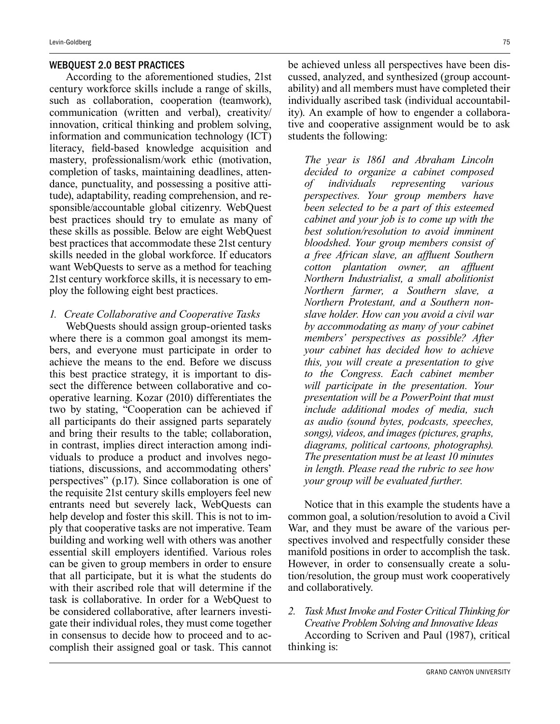#### WEBQUEST 2.0 BEST PRACTICES

According to the aforementioned studies, 21st century workforce skills include a range of skills, such as collaboration, cooperation (teamwork), communication (written and verbal), creativity/ innovation, critical thinking and problem solving, information and communication technology (ICT) literacy, field-based knowledge acquisition and mastery, professionalism/work ethic (motivation, completion of tasks, maintaining deadlines, attendance, punctuality, and possessing a positive attitude), adaptability, reading comprehension, and responsible/accountable global citizenry. WebQuest best practices should try to emulate as many of these skills as possible. Below are eight WebQuest best practices that accommodate these 21st century skills needed in the global workforce. If educators want WebQuests to serve as a method for teaching 21st century workforce skills, it is necessary to employ the following eight best practices.

### *1. Create Collaborative and Cooperative Tasks*

WebQuests should assign group-oriented tasks where there is a common goal amongst its members, and everyone must participate in order to achieve the means to the end. Before we discuss this best practice strategy, it is important to dissect the difference between collaborative and cooperative learning. Kozar (2010) differentiates the two by stating, "Cooperation can be achieved if all participants do their assigned parts separately and bring their results to the table; collaboration, in contrast, implies direct interaction among individuals to produce a product and involves negotiations, discussions, and accommodating others' perspectives" (p.17). Since collaboration is one of the requisite 21st century skills employers feel new entrants need but severely lack, WebQuests can help develop and foster this skill. This is not to imply that cooperative tasks are not imperative. Team building and working well with others was another essential skill employers identified. Various roles can be given to group members in order to ensure that all participate, but it is what the students do with their ascribed role that will determine if the task is collaborative. In order for a WebQuest to be considered collaborative, after learners investigate their individual roles, they must come together in consensus to decide how to proceed and to accomplish their assigned goal or task. This cannot

be achieved unless all perspectives have been discussed, analyzed, and synthesized (group accountability) and all members must have completed their individually ascribed task (individual accountability). An example of how to engender a collaborative and cooperative assignment would be to ask students the following:

*The year is 1861 and Abraham Lincoln decided to organize a cabinet composed of individuals representing various perspectives. Your group members have been selected to be a part of this esteemed cabinet and your job is to come up with the best solution/resolution to avoid imminent bloodshed. Your group members consist of a free African slave, an affluent Southern cotton plantation owner, an affluent Northern Industrialist, a small abolitionist Northern farmer, a Southern slave, a Northern Protestant, and a Southern nonslave holder. How can you avoid a civil war by accommodating as many of your cabinet members' perspectives as possible? After your cabinet has decided how to achieve this, you will create a presentation to give to the Congress. Each cabinet member will participate in the presentation. Your presentation will be a PowerPoint that must include additional modes of media, such as audio (sound bytes, podcasts, speeches, songs), videos, and images (pictures, graphs, diagrams, political cartoons, photographs). The presentation must be at least 10 minutes in length. Please read the rubric to see how your group will be evaluated further.* 

Notice that in this example the students have a common goal, a solution/resolution to avoid a Civil War, and they must be aware of the various perspectives involved and respectfully consider these manifold positions in order to accomplish the task. However, in order to consensually create a solution/resolution, the group must work cooperatively and collaboratively.

# *2. Task Must Invoke and Foster Critical Thinking for Creative Problem Solving and Innovative Ideas*

According to Scriven and Paul (1987), critical thinking is: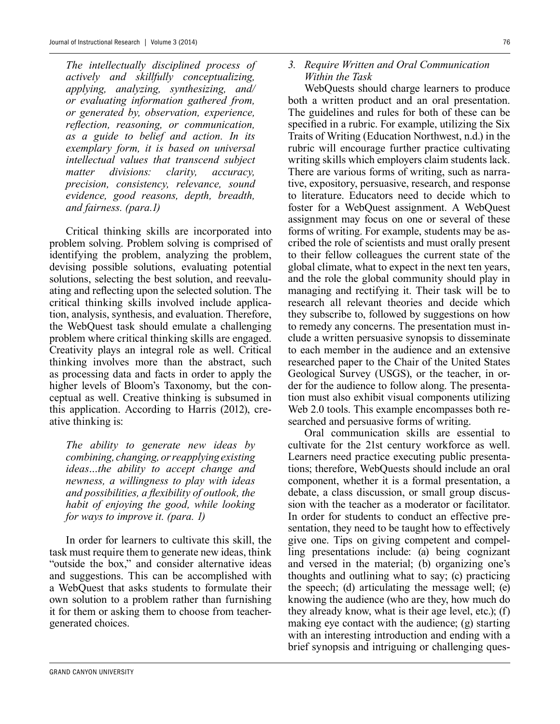*The intellectually disciplined process of actively and skillfully conceptualizing, applying, analyzing, synthesizing, and/ or evaluating information gathered from, or generated by, observation, experience, reflection, reasoning, or communication, as a guide to belief and action. In its exemplary form, it is based on universal intellectual values that transcend subject matter divisions: clarity, accuracy, precision, consistency, relevance, sound evidence, good reasons, depth, breadth, and fairness. (para.1)*

Critical thinking skills are incorporated into problem solving. Problem solving is comprised of identifying the problem, analyzing the problem, devising possible solutions, evaluating potential solutions, selecting the best solution, and reevaluating and reflecting upon the selected solution. The critical thinking skills involved include application, analysis, synthesis, and evaluation. Therefore, the WebQuest task should emulate a challenging problem where critical thinking skills are engaged. Creativity plays an integral role as well. Critical thinking involves more than the abstract, such as processing data and facts in order to apply the higher levels of Bloom's Taxonomy, but the conceptual as well. Creative thinking is subsumed in this application. According to Harris (2012), creative thinking is:

*The ability to generate new ideas by combining, changing, or reapplying existing ideas…the ability to accept change and newness, a willingness to play with ideas and possibilities, a flexibility of outlook, the habit of enjoying the good, while looking for ways to improve it. (para. 1)* 

In order for learners to cultivate this skill, the task must require them to generate new ideas, think "outside the box," and consider alternative ideas and suggestions. This can be accomplished with a WebQuest that asks students to formulate their own solution to a problem rather than furnishing it for them or asking them to choose from teachergenerated choices.

## *3. Require Written and Oral Communication Within the Task*

WebQuests should charge learners to produce both a written product and an oral presentation. The guidelines and rules for both of these can be specified in a rubric. For example, utilizing the Six Traits of Writing (Education Northwest, n.d.) in the rubric will encourage further practice cultivating writing skills which employers claim students lack. There are various forms of writing, such as narrative, expository, persuasive, research, and response to literature. Educators need to decide which to foster for a WebQuest assignment. A WebQuest assignment may focus on one or several of these forms of writing. For example, students may be ascribed the role of scientists and must orally present to their fellow colleagues the current state of the global climate, what to expect in the next ten years, and the role the global community should play in managing and rectifying it. Their task will be to research all relevant theories and decide which they subscribe to, followed by suggestions on how to remedy any concerns. The presentation must include a written persuasive synopsis to disseminate to each member in the audience and an extensive researched paper to the Chair of the United States Geological Survey (USGS), or the teacher, in order for the audience to follow along. The presentation must also exhibit visual components utilizing Web 2.0 tools. This example encompasses both researched and persuasive forms of writing.

Oral communication skills are essential to cultivate for the 21st century workforce as well. Learners need practice executing public presentations; therefore, WebQuests should include an oral component, whether it is a formal presentation, a debate, a class discussion, or small group discussion with the teacher as a moderator or facilitator. In order for students to conduct an effective presentation, they need to be taught how to effectively give one. Tips on giving competent and compelling presentations include: (a) being cognizant and versed in the material; (b) organizing one's thoughts and outlining what to say; (c) practicing the speech; (d) articulating the message well; (e) knowing the audience (who are they, how much do they already know, what is their age level, etc.); (f) making eye contact with the audience; (g) starting with an interesting introduction and ending with a brief synopsis and intriguing or challenging ques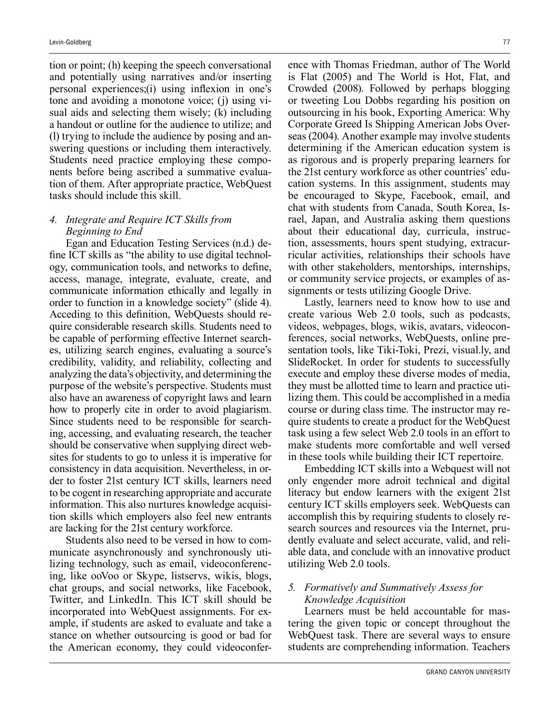tion or point; (h) keeping the speech conversational and potentially using narratives and/or inserting personal experiences;(i) using inflexion in one's tone and avoiding a monotone voice; (j) using visual aids and selecting them wisely; (k) including a handout or outline for the audience to utilize; and (l) trying to include the audience by posing and answering questions or including them interactively. Students need practice employing these components before being ascribed a summative evaluation of them. After appropriate practice, WebQuest tasks should include this skill.

# *4. Integrate and Require ICT Skills from Beginning to End*

Egan and Education Testing Services (n.d.) define ICT skills as "the ability to use digital technology, communication tools, and networks to define, access, manage, integrate, evaluate, create, and communicate information ethically and legally in order to function in a knowledge society" (slide 4). Acceding to this definition, WebQuests should require considerable research skills. Students need to be capable of performing effective Internet searches, utilizing search engines, evaluating a source's credibility, validity, and reliability, collecting and analyzing the data's objectivity, and determining the purpose of the website's perspective. Students must also have an awareness of copyright laws and learn how to properly cite in order to avoid plagiarism. Since students need to be responsible for searching, accessing, and evaluating research, the teacher should be conservative when supplying direct websites for students to go to unless it is imperative for consistency in data acquisition. Nevertheless, in order to foster 21st century ICT skills, learners need to be cogent in researching appropriate and accurate information. This also nurtures knowledge acquisition skills which employers also feel new entrants are lacking for the 21st century workforce.

Students also need to be versed in how to communicate asynchronously and synchronously utilizing technology, such as email, videoconferencing, like ooVoo or Skype, listservs, wikis, blogs, chat groups, and social networks, like Facebook, Twitter, and LinkedIn. This ICT skill should be incorporated into WebQuest assignments. For example, if students are asked to evaluate and take a stance on whether outsourcing is good or bad for the American economy, they could videoconference with Thomas Friedman, author of The World is Flat (2005) and The World is Hot, Flat, and Crowded (2008). Followed by perhaps blogging or tweeting Lou Dobbs regarding his position on outsourcing in his book, Exporting America: Why Corporate Greed Is Shipping American Jobs Overseas (2004). Another example may involve students determining if the American education system is as rigorous and is properly preparing learners for the 21st century workforce as other countries' education systems. In this assignment, students may be encouraged to Skype, Facebook, email, and chat with students from Canada, South Korea, Israel, Japan, and Australia asking them questions about their educational day, curricula, instruction, assessments, hours spent studying, extracurricular activities, relationships their schools have with other stakeholders, mentorships, internships, or community service projects, or examples of assignments or tests utilizing Google Drive.

Lastly, learners need to know how to use and create various Web 2.0 tools, such as podcasts, videos, webpages, blogs, wikis, avatars, videoconferences, social networks, WebQuests, online presentation tools, like Tiki-Toki, Prezi, visual.ly, and SlideRocket. In order for students to successfully execute and employ these diverse modes of media, they must be allotted time to learn and practice utilizing them. This could be accomplished in a media course or during class time. The instructor may require students to create a product for the WebQuest task using a few select Web 2.0 tools in an effort to make students more comfortable and well versed in these tools while building their ICT repertoire.

Embedding ICT skills into a Webquest will not only engender more adroit technical and digital literacy but endow learners with the exigent 21st century ICT skills employers seek. WebQuests can accomplish this by requiring students to closely research sources and resources via the Internet, prudently evaluate and select accurate, valid, and reliable data, and conclude with an innovative product utilizing Web 2.0 tools.

# *5. Formatively and Summatively Assess for Knowledge Acquisition*

Learners must be held accountable for mastering the given topic or concept throughout the WebQuest task. There are several ways to ensure students are comprehending information. Teachers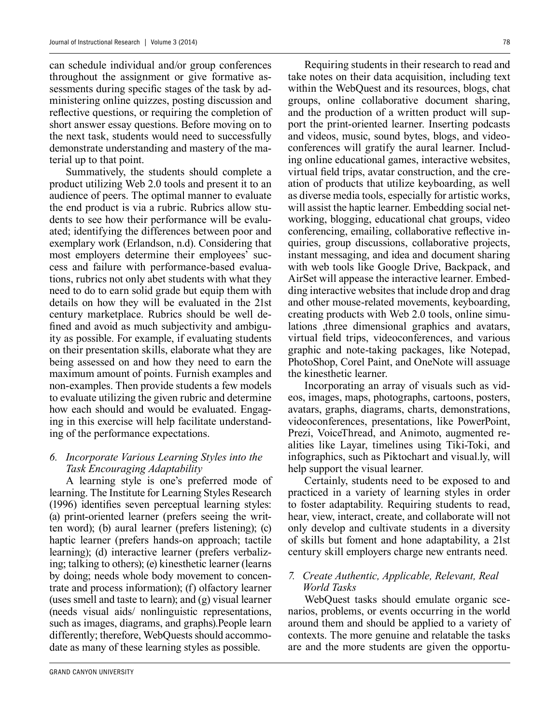can schedule individual and/or group conferences throughout the assignment or give formative assessments during specific stages of the task by administering online quizzes, posting discussion and reflective questions, or requiring the completion of short answer essay questions. Before moving on to the next task, students would need to successfully demonstrate understanding and mastery of the material up to that point.

Summatively, the students should complete a product utilizing Web 2.0 tools and present it to an audience of peers. The optimal manner to evaluate the end product is via a rubric. Rubrics allow students to see how their performance will be evaluated; identifying the differences between poor and exemplary work (Erlandson, n.d). Considering that most employers determine their employees' success and failure with performance-based evaluations, rubrics not only abet students with what they need to do to earn solid grade but equip them with details on how they will be evaluated in the 21st century marketplace. Rubrics should be well defined and avoid as much subjectivity and ambiguity as possible. For example, if evaluating students on their presentation skills, elaborate what they are being assessed on and how they need to earn the maximum amount of points. Furnish examples and non-examples. Then provide students a few models to evaluate utilizing the given rubric and determine how each should and would be evaluated. Engaging in this exercise will help facilitate understanding of the performance expectations.

# *6. Incorporate Various Learning Styles into the Task Encouraging Adaptability*

A learning style is one's preferred mode of learning. The Institute for Learning Styles Research (1996) identifies seven perceptual learning styles: (a) print-oriented learner (prefers seeing the written word); (b) aural learner (prefers listening); (c) haptic learner (prefers hands-on approach; tactile learning); (d) interactive learner (prefers verbalizing; talking to others); (e) kinesthetic learner (learns by doing; needs whole body movement to concentrate and process information); (f) olfactory learner (uses smell and taste to learn); and (g) visual learner (needs visual aids/ nonlinguistic representations, such as images, diagrams, and graphs).People learn differently; therefore, WebQuests should accommodate as many of these learning styles as possible.

Requiring students in their research to read and take notes on their data acquisition, including text within the WebQuest and its resources, blogs, chat groups, online collaborative document sharing, and the production of a written product will support the print-oriented learner. Inserting podcasts and videos, music, sound bytes, blogs, and videoconferences will gratify the aural learner. Including online educational games, interactive websites, virtual field trips, avatar construction, and the creation of products that utilize keyboarding, as well as diverse media tools, especially for artistic works, will assist the haptic learner. Embedding social networking, blogging, educational chat groups, video conferencing, emailing, collaborative reflective inquiries, group discussions, collaborative projects, instant messaging, and idea and document sharing with web tools like Google Drive, Backpack, and AirSet will appease the interactive learner. Embedding interactive websites that include drop and drag and other mouse-related movements, keyboarding, creating products with Web 2.0 tools, online simulations ,three dimensional graphics and avatars, virtual field trips, videoconferences, and various graphic and note-taking packages, like Notepad, PhotoShop, Corel Paint, and OneNote will assuage the kinesthetic learner.

Incorporating an array of visuals such as videos, images, maps, photographs, cartoons, posters, avatars, graphs, diagrams, charts, demonstrations, videoconferences, presentations, like PowerPoint, Prezi, VoiceThread, and Animoto, augmented realities like Layar, timelines using Tiki-Toki, and infographics, such as Piktochart and visual.ly, will help support the visual learner.

Certainly, students need to be exposed to and practiced in a variety of learning styles in order to foster adaptability. Requiring students to read, hear, view, interact, create, and collaborate will not only develop and cultivate students in a diversity of skills but foment and hone adaptability, a 21st century skill employers charge new entrants need.

### *7. Create Authentic, Applicable, Relevant, Real World Tasks*

WebQuest tasks should emulate organic scenarios, problems, or events occurring in the world around them and should be applied to a variety of contexts. The more genuine and relatable the tasks are and the more students are given the opportu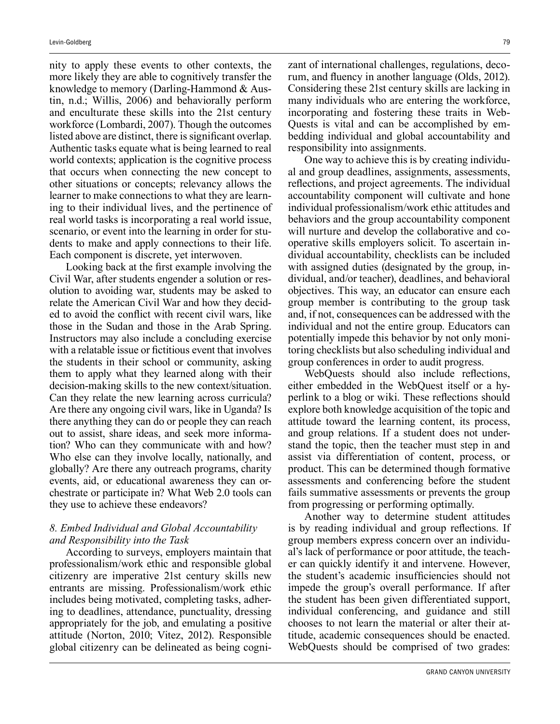nity to apply these events to other contexts, the more likely they are able to cognitively transfer the knowledge to memory (Darling-Hammond & Austin, n.d.; Willis, 2006) and behaviorally perform and enculturate these skills into the 21st century workforce (Lombardi, 2007). Though the outcomes listed above are distinct, there is significant overlap. Authentic tasks equate what is being learned to real world contexts; application is the cognitive process that occurs when connecting the new concept to other situations or concepts; relevancy allows the learner to make connections to what they are learning to their individual lives, and the pertinence of real world tasks is incorporating a real world issue, scenario, or event into the learning in order for students to make and apply connections to their life. Each component is discrete, yet interwoven.

Looking back at the first example involving the Civil War, after students engender a solution or resolution to avoiding war, students may be asked to relate the American Civil War and how they decided to avoid the conflict with recent civil wars, like those in the Sudan and those in the Arab Spring. Instructors may also include a concluding exercise with a relatable issue or fictitious event that involves the students in their school or community, asking them to apply what they learned along with their decision-making skills to the new context/situation. Can they relate the new learning across curricula? Are there any ongoing civil wars, like in Uganda? Is there anything they can do or people they can reach out to assist, share ideas, and seek more information? Who can they communicate with and how? Who else can they involve locally, nationally, and globally? Are there any outreach programs, charity events, aid, or educational awareness they can orchestrate or participate in? What Web 2.0 tools can they use to achieve these endeavors?

### *8. Embed Individual and Global Accountability and Responsibility into the Task*

According to surveys, employers maintain that professionalism/work ethic and responsible global citizenry are imperative 21st century skills new entrants are missing. Professionalism/work ethic includes being motivated, completing tasks, adhering to deadlines, attendance, punctuality, dressing appropriately for the job, and emulating a positive attitude (Norton, 2010; Vitez, 2012). Responsible global citizenry can be delineated as being cognizant of international challenges, regulations, decorum, and fluency in another language (Olds, 2012). Considering these 21st century skills are lacking in many individuals who are entering the workforce, incorporating and fostering these traits in Web-Quests is vital and can be accomplished by embedding individual and global accountability and responsibility into assignments.

One way to achieve this is by creating individual and group deadlines, assignments, assessments, reflections, and project agreements. The individual accountability component will cultivate and hone individual professionalism/work ethic attitudes and behaviors and the group accountability component will nurture and develop the collaborative and cooperative skills employers solicit. To ascertain individual accountability, checklists can be included with assigned duties (designated by the group, individual, and/or teacher), deadlines, and behavioral objectives. This way, an educator can ensure each group member is contributing to the group task and, if not, consequences can be addressed with the individual and not the entire group. Educators can potentially impede this behavior by not only monitoring checklists but also scheduling individual and group conferences in order to audit progress.

WebQuests should also include reflections, either embedded in the WebQuest itself or a hyperlink to a blog or wiki. These reflections should explore both knowledge acquisition of the topic and attitude toward the learning content, its process, and group relations. If a student does not understand the topic, then the teacher must step in and assist via differentiation of content, process, or product. This can be determined though formative assessments and conferencing before the student fails summative assessments or prevents the group from progressing or performing optimally.

Another way to determine student attitudes is by reading individual and group reflections. If group members express concern over an individual's lack of performance or poor attitude, the teacher can quickly identify it and intervene. However, the student's academic insufficiencies should not impede the group's overall performance. If after the student has been given differentiated support, individual conferencing, and guidance and still chooses to not learn the material or alter their attitude, academic consequences should be enacted. WebQuests should be comprised of two grades: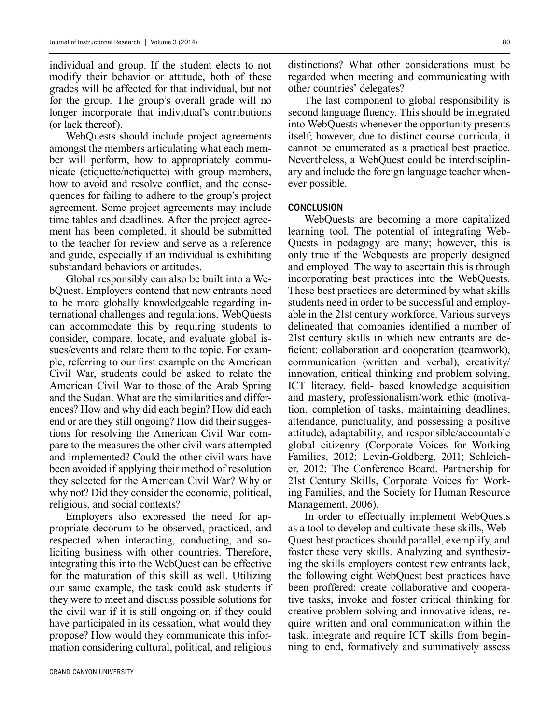individual and group. If the student elects to not modify their behavior or attitude, both of these grades will be affected for that individual, but not for the group. The group's overall grade will no longer incorporate that individual's contributions (or lack thereof).

WebQuests should include project agreements amongst the members articulating what each member will perform, how to appropriately communicate (etiquette/netiquette) with group members, how to avoid and resolve conflict, and the consequences for failing to adhere to the group's project agreement. Some project agreements may include time tables and deadlines. After the project agreement has been completed, it should be submitted to the teacher for review and serve as a reference and guide, especially if an individual is exhibiting substandard behaviors or attitudes.

Global responsibly can also be built into a WebQuest. Employers contend that new entrants need to be more globally knowledgeable regarding international challenges and regulations. WebQuests can accommodate this by requiring students to consider, compare, locate, and evaluate global issues/events and relate them to the topic. For example, referring to our first example on the American Civil War, students could be asked to relate the American Civil War to those of the Arab Spring and the Sudan. What are the similarities and differences? How and why did each begin? How did each end or are they still ongoing? How did their suggestions for resolving the American Civil War compare to the measures the other civil wars attempted and implemented? Could the other civil wars have been avoided if applying their method of resolution they selected for the American Civil War? Why or why not? Did they consider the economic, political, religious, and social contexts?

Employers also expressed the need for appropriate decorum to be observed, practiced, and respected when interacting, conducting, and soliciting business with other countries. Therefore, integrating this into the WebQuest can be effective for the maturation of this skill as well. Utilizing our same example, the task could ask students if they were to meet and discuss possible solutions for the civil war if it is still ongoing or, if they could have participated in its cessation, what would they propose? How would they communicate this information considering cultural, political, and religious

distinctions? What other considerations must be regarded when meeting and communicating with other countries' delegates?

The last component to global responsibility is second language fluency. This should be integrated into WebQuests whenever the opportunity presents itself; however, due to distinct course curricula, it cannot be enumerated as a practical best practice. Nevertheless, a WebQuest could be interdisciplinary and include the foreign language teacher whenever possible.

#### **CONCLUSION**

WebQuests are becoming a more capitalized learning tool. The potential of integrating Web-Quests in pedagogy are many; however, this is only true if the Webquests are properly designed and employed. The way to ascertain this is through incorporating best practices into the WebQuests. These best practices are determined by what skills students need in order to be successful and employable in the 21st century workforce. Various surveys delineated that companies identified a number of 21st century skills in which new entrants are deficient: collaboration and cooperation (teamwork), communication (written and verbal), creativity/ innovation, critical thinking and problem solving, ICT literacy, field- based knowledge acquisition and mastery, professionalism/work ethic (motivation, completion of tasks, maintaining deadlines, attendance, punctuality, and possessing a positive attitude), adaptability, and responsible/accountable global citizenry (Corporate Voices for Working Families, 2012; Levin-Goldberg, 2011; Schleicher, 2012; The Conference Board, Partnership for 21st Century Skills, Corporate Voices for Working Families, and the Society for Human Resource Management, 2006).

In order to effectually implement WebQuests as a tool to develop and cultivate these skills, Web-Quest best practices should parallel, exemplify, and foster these very skills. Analyzing and synthesizing the skills employers contest new entrants lack, the following eight WebQuest best practices have been proffered: create collaborative and cooperative tasks, invoke and foster critical thinking for creative problem solving and innovative ideas, require written and oral communication within the task, integrate and require ICT skills from beginning to end, formatively and summatively assess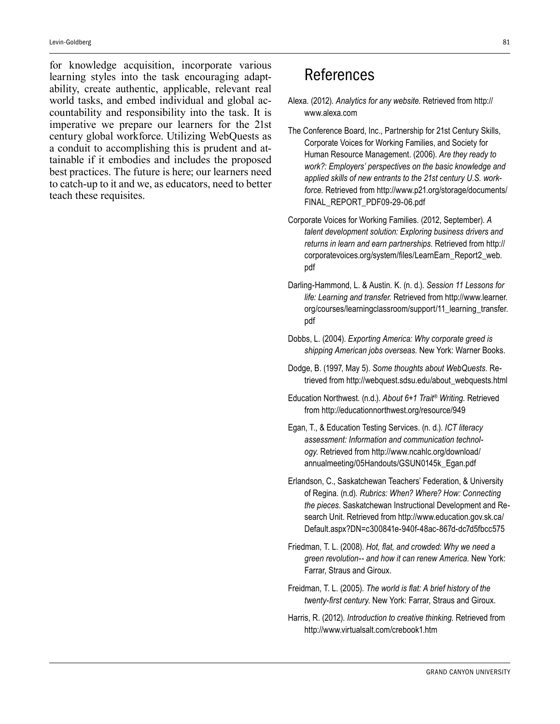for knowledge acquisition, incorporate various learning styles into the task encouraging adaptability, create authentic, applicable, relevant real world tasks, and embed individual and global accountability and responsibility into the task. It is imperative we prepare our learners for the 21st century global workforce. Utilizing WebQuests as a conduit to accomplishing this is prudent and attainable if it embodies and includes the proposed best practices. The future is here; our learners need to catch-up to it and we, as educators, need to better teach these requisites.

# References

- Alexa. (2012). *Analytics for any website.* Retrieved from http:// www.alexa.com
- The Conference Board, Inc., Partnership for 21st Century Skills, Corporate Voices for Working Families, and Society for Human Resource Management. (2006). *Are they ready to work?: Employers' perspectives on the basic knowledge and applied skills of new entrants to the 21st century U.S. workforce.* Retrieved from http://www.p21.org/storage/documents/ FINAL\_REPORT\_PDF09-29-06.pdf
- Corporate Voices for Working Families. (2012, September). *A talent development solution: Exploring business drivers and returns in learn and earn partnerships.* Retrieved from http:// corporatevoices.org/system/files/LearnEarn\_Report2\_web. pdf
- Darling-Hammond, L. & Austin. K. (n. d.). *Session 11 Lessons for life: Learning and transfer.* Retrieved from http://www.learner. org/courses/learningclassroom/support/11\_learning\_transfer. pdf
- Dobbs, L. (2004). *Exporting America: Why corporate greed is shipping American jobs overseas.* New York: Warner Books.
- Dodge, B. (1997, May 5). *Some thoughts about WebQuests.* Retrieved from http://webquest.sdsu.edu/about\_webquests.html
- Education Northwest. (n.d.). *About 6+1 Trait® Writing.* Retrieved from http://educationnorthwest.org/resource/949
- Egan, T., & Education Testing Services. (n. d.). *ICT literacy assessment: Information and communication technology.* Retrieved from http://www.ncahlc.org/download/ annualmeeting/05Handouts/GSUN0145k\_Egan.pdf
- Erlandson, C., Saskatchewan Teachers' Federation, & University of Regina. (n.d). *Rubrics: When? Where? How: Connecting the pieces.* Saskatchewan Instructional Development and Research Unit. Retrieved from http://www.education.gov.sk.ca/ Default.aspx?DN=c300841e-940f-48ac-867d-dc7d5fbcc575
- Friedman, T. L. (2008). *Hot, flat, and crowded: Why we need a green revolution-- and how it can renew America.* New York: Farrar, Straus and Giroux.
- Freidman, T. L. (2005). *The world is flat: A brief history of the twenty-first century.* New York: Farrar, Straus and Giroux.
- Harris, R. (2012). *Introduction to creative thinking.* Retrieved from http://www.virtualsalt.com/crebook1.htm